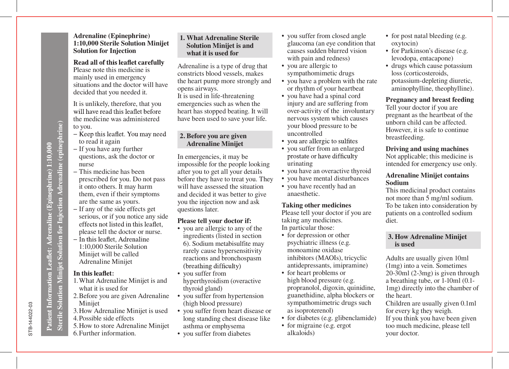Sterile Solution Minijet Solution for Injection Adrenaline (epinephrine) **Sterile Solution Minijet Solution for Injection Adrenaline (epinephrine)** Patient Information Leaflet: Adrenaline (Epinephrine) 1:10,000

# **1:10,000 Sterile Solution Minijet Solution for Injection** Read all of this leaflet carefully Please note this medicine is

mainly used in emergency situations and the doctor will have decided that you needed it.

**Adrenaline (Epinephrine)** 

It is unlikely, therefore, that you<br>will have read this leaflet before the medicine was administered to you.

- Keep this leaflet. You may need to read it again
- − If you have any further questions, ask the doctor or nurse
- − This medicine has been prescribed for you. Do not pass it onto others. It may harm them, even if their symptoms are the same as yours.
- − If any of the side effects get serious, or if you notice any side<br>effects not listed in this leaflet. please tell the doctor or nurse.
- − In this leaflet. Adrenaline 1:10,000 Sterile Solution Minijet will be called Adrenaline Minijet

### In this leaflet:

- 1. What Adrenaline Minijet is and what it is used for
- 2. Before you are given Adrenaline Minijet
- 3. How Adrenaline Minijet is used
- 4. Possible side effects
- 5. How to store Adrenaline Minijet 6. Further information.

### **1. What Adrenaline Sterile Solution Minijet is and what it is used for**

Adrenaline is a type of drug that constricts blood vessels, makes the heart pump more strongly and opens airways.

It is used in life-threatening emergencies such as when the heart has stopped beating. It will have been used to save your life.

### **2. Before you are given Adrenaline Minijet**

In emergencies, it may be impossible for the people looking after you to get all your details before they have to treat you. They will have assessed the situation and decided it was better to give you the injection now and ask questions later.

## **Please tell your doctor if:**

- you are allergic to any of the ingredients (listed in section rarely cause hypersensitivity reactions and bronchospasm 6). Sodium metabisulfite may
- you suffer from hyperthyroidism (overactive thyroid gland)
- you suffer from hypertension (high blood pressure)
- you suffer from heart disease or long standing chest disease like asthma or emphysema
- you suffer from diabetes
- you suffer from closed angle glaucoma (an eye condition that causes sudden blurred vision with pain and redness)
- you are allergic to sympathomimetic drugs
- you have a problem with the rate or rhythm of your heartbeat
- you have had a spinal cord injury and are suffering from over-activity of the involuntary nervous system which causes your blood pressure to be uncontrolled
- you are allergic to sulfites
- you suffer from an enlarged<br>prostate or have difficulty urinating
- you have an overactive thyroid
- you have mental disturbances
- you have recently had an anaesthetic.

#### **Taking other medicines**

Please tell your doctor if you are taking any medicines. In particular those:

- for depression or other psychiatric illness (e.g. monoamine oxidase inhibitors (MAOIs), tricyclic antidepressants, imipramine)
- for heart problems or high blood pressure (e.g. propranolol, digoxin, quinidine, guanethidine, alpha blockers or sympathomimetric drugs such as isoproterenol)
- for diabetes (e.g. glibenclamide)
- for migraine (e.g. ergot alkaloids)
- for post natal bleeding (e.g. oxytocin)
- for Parkinson's disease (e.g. levodopa, entacapone)
- drugs which cause potassium loss (corticosteroids, potassium-depleting diuretic, aminophylline, theophylline).

### **Pregnancy and breast feeding**

Tell your doctor if you are pregnant as the heartbeat of the unborn child can be affected. However, it is safe to continue breastfeeding.

### **Driving and using machines**

Not applicable; this medicine is intended for emergency use only.

### **Adrenaline Minijet contains Sodium**

This medicinal product contains not more than 5 mg/ml sodium. To be taken into consideration by patients on a controlled sodium diet.

#### **3. How Adrenaline Minijet is used**

Adults are usually given 10ml (1mg) into a vein. Sometimes 20-30ml (2-3mg) is given through a breathing tube, or 1-10ml (0.1- 1mg) directly into the chamber of the heart.

Children are usually given 0.1ml for every kg they weigh. If you think you have been given too much medicine, please tell your doctor.